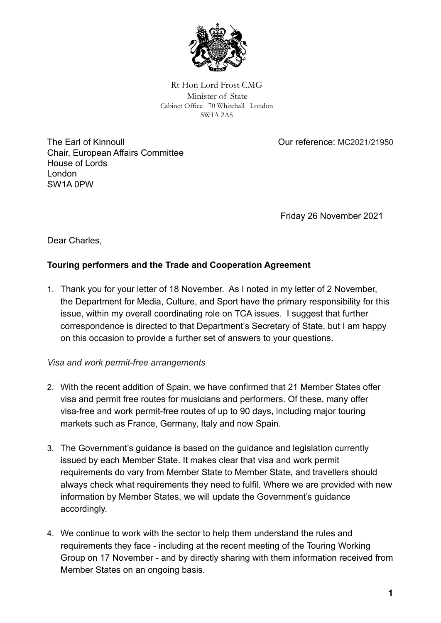

Rt Hon Lord Frost CMG Minister of State Cabinet Office 70 Whitehall London SW1A 2AS

The Earl of Kinnoull Chair, European Affairs Committee House of Lords London SW1A 0PW

Our reference: MC2021/21950

Friday 26 November 2021

Dear Charles,

## **Touring performers and the Trade and Cooperation Agreement**

1. Thank you for your letter of 18 November. As I noted in my letter of 2 November, the Department for Media, Culture, and Sport have the primary responsibility for this issue, within my overall coordinating role on TCA issues. I suggest that further correspondence is directed to that Department's Secretary of State, but I am happy on this occasion to provide a further set of answers to your questions.

## *Visa and work permit-free arrangements*

- 2. With the recent addition of Spain, we have confirmed that 21 Member States offer visa and permit free routes for musicians and performers. Of these, many offer visa-free and work permit-free routes of up to 90 days, including major touring markets such as France, Germany, Italy and now Spain.
- 3. The Government's guidance is based on the guidance and legislation currently issued by each Member State. It makes clear that visa and work permit requirements do vary from Member State to Member State, and travellers should always check what requirements they need to fulfil. Where we are provided with new information by Member States, we will update the Government's guidance accordingly.
- 4. We continue to work with the sector to help them understand the rules and requirements they face - including at the recent meeting of the Touring Working Group on 17 November - and by directly sharing with them information received from Member States on an ongoing basis.